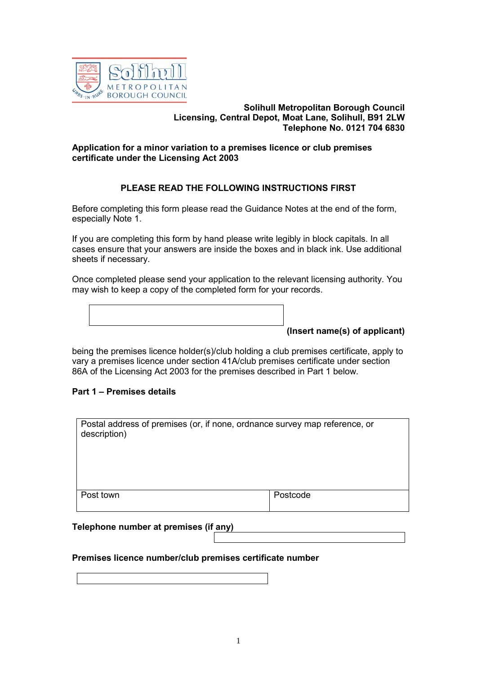

#### **Solihull Metropolitan Borough Council Licensing, Central Depot, Moat Lane, Solihull, B91 2LW Telephone No. 0121 704 6830**

# **Application for a minor variation to a premises licence or club premises certificate under the Licensing Act 2003**

# **PLEASE READ THE FOLLOWING INSTRUCTIONS FIRST**

Before completing this form please read the Guidance Notes at the end of the form, especially Note 1.

If you are completing this form by hand please write legibly in block capitals. In all cases ensure that your answers are inside the boxes and in black ink. Use additional sheets if necessary.

Once completed please send your application to the relevant licensing authority. You may wish to keep a copy of the completed form for your records.

**(Insert name(s) of applicant)**

being the premises licence holder(s)/club holding a club premises certificate, apply to vary a premises licence under section 41A/club premises certificate under section 86A of the Licensing Act 2003 for the premises described in Part 1 below.

# **Part 1 – Premises details**

| Postal address of premises (or, if none, ordnance survey map reference, or<br>description) |          |
|--------------------------------------------------------------------------------------------|----------|
| Post town                                                                                  | Postcode |

# **Telephone number at premises (if any)**

# **Premises licence number/club premises certificate number**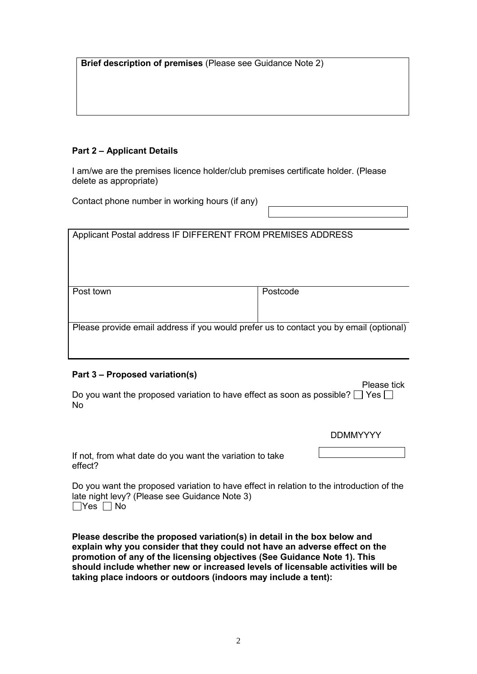**Brief description of premises** (Please see Guidance Note 2)

# **Part 2 – Applicant Details**

I am/we are the premises licence holder/club premises certificate holder. (Please delete as appropriate)

Contact phone number in working hours (if any)

| Applicant Postal address IF DIFFERENT FROM PREMISES ADDRESS                            |          |  |
|----------------------------------------------------------------------------------------|----------|--|
| Post town                                                                              | Postcode |  |
|                                                                                        |          |  |
| Please provide email address if you would prefer us to contact you by email (optional) |          |  |
|                                                                                        |          |  |

# **Part 3 – Proposed variation(s)**

Do you want the proposed variation to have effect as soon as possible?  $\Box$  Yes  $\Box$ No

DDMMYYYY

Please tick

If not, from what date do you want the variation to take effect?

Do you want the proposed variation to have effect in relation to the introduction of the late night levy? (Please see Guidance Note 3)  $\Box$ Yes  $\Box$  No

**Please describe the proposed variation(s) in detail in the box below and explain why you consider that they could not have an adverse effect on the promotion of any of the licensing objectives (See Guidance Note 1). This should include whether new or increased levels of licensable activities will be taking place indoors or outdoors (indoors may include a tent):**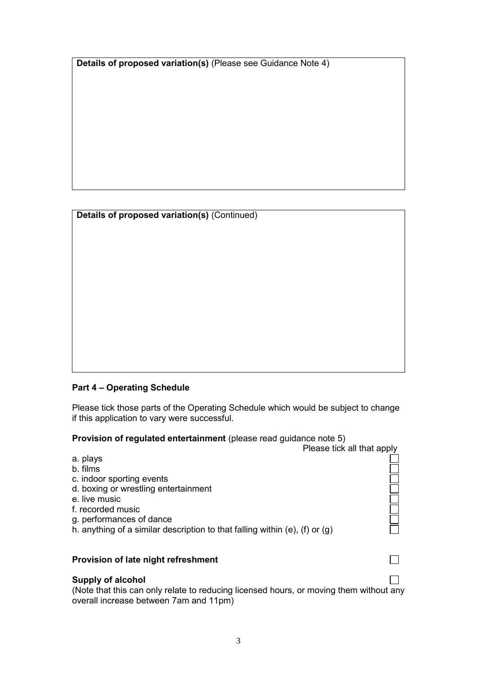**Details of proposed variation(s)** (Please see Guidance Note 4)

|  | Details of proposed variation(s) (Continued) |  |
|--|----------------------------------------------|--|

# **Part 4 – Operating Schedule**

Please tick those parts of the Operating Schedule which would be subject to change if this application to vary were successful.

**Provision of regulated entertainment** (please read guidance note 5)

|                                                                                                                                                                                                                                            | Please tick all that apply |
|--------------------------------------------------------------------------------------------------------------------------------------------------------------------------------------------------------------------------------------------|----------------------------|
| a. plays<br>b. films<br>c. indoor sporting events<br>d. boxing or wrestling entertainment<br>e. live music<br>f. recorded music<br>g. performances of dance<br>h. anything of a similar description to that falling within (e), (f) or (g) |                            |
| Provision of late night refreshment                                                                                                                                                                                                        |                            |

# **Supply of alcohol**

(Note that this can only relate to reducing licensed hours, or moving them without any overall increase between 7am and 11pm)

 $\Box$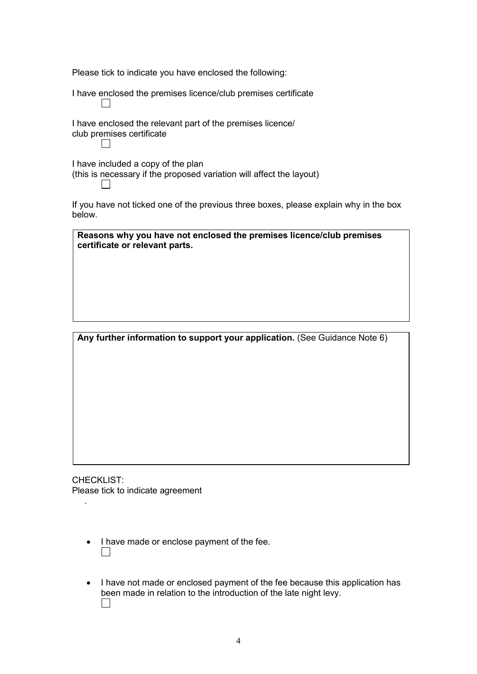Please tick to indicate you have enclosed the following:

 $\sim$ 

I have enclosed the premises licence/club premises certificate

I have enclosed the relevant part of the premises licence/ club premises certificate  $\Box$ 

I have included a copy of the plan (this is necessary if the proposed variation will affect the layout)  $\Box$ 

If you have not ticked one of the previous three boxes, please explain why in the box below.

**Reasons why you have not enclosed the premises licence/club premises certificate or relevant parts.** 

**Any further information to support your application.** (See Guidance Note 6)

CHECKLIST: Please tick to indicate agreement

.

- I have made or enclose payment of the fee.  $\Box$
- I have not made or enclosed payment of the fee because this application has been made in relation to the introduction of the late night levy.  $\Box$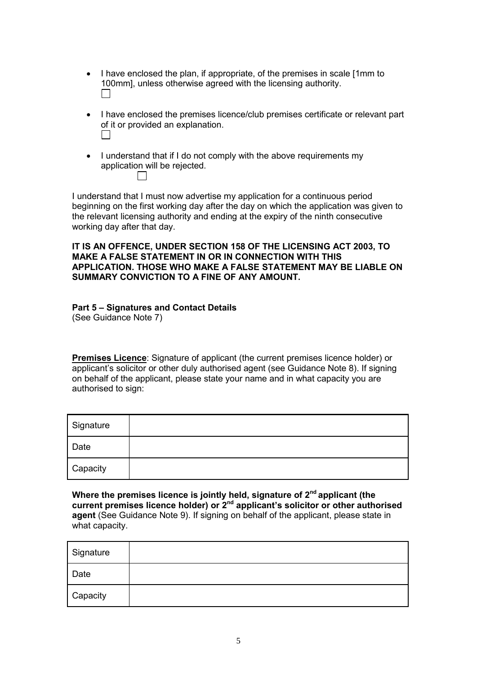- I have enclosed the plan, if appropriate, of the premises in scale [1mm to 100mm], unless otherwise agreed with the licensing authority.  $\Box$
- I have enclosed the premises licence/club premises certificate or relevant part of it or provided an explanation.  $\mathcal{L}(\mathcal{L})$
- I understand that if I do not comply with the above requirements my application will be rejected.  $\Box$

I understand that I must now advertise my application for a continuous period beginning on the first working day after the day on which the application was given to the relevant licensing authority and ending at the expiry of the ninth consecutive working day after that day.

#### **IT IS AN OFFENCE, UNDER SECTION 158 OF THE LICENSING ACT 2003, TO MAKE A FALSE STATEMENT IN OR IN CONNECTION WITH THIS APPLICATION. THOSE WHO MAKE A FALSE STATEMENT MAY BE LIABLE ON SUMMARY CONVICTION TO A FINE OF ANY AMOUNT.**

# **Part 5 – Signatures and Contact Details**

(See Guidance Note 7)

**Premises Licence**: Signature of applicant (the current premises licence holder) or applicant's solicitor or other duly authorised agent (see Guidance Note 8). If signing on behalf of the applicant, please state your name and in what capacity you are authorised to sign:

| Signature |  |
|-----------|--|
| Date      |  |
| Capacity  |  |

**Where the premises licence is jointly held, signature of 2nd applicant (the current premises licence holder) or 2nd applicant's solicitor or other authorised agent** (See Guidance Note 9). If signing on behalf of the applicant, please state in what capacity.

| Signature |  |
|-----------|--|
| Date      |  |
| Capacity  |  |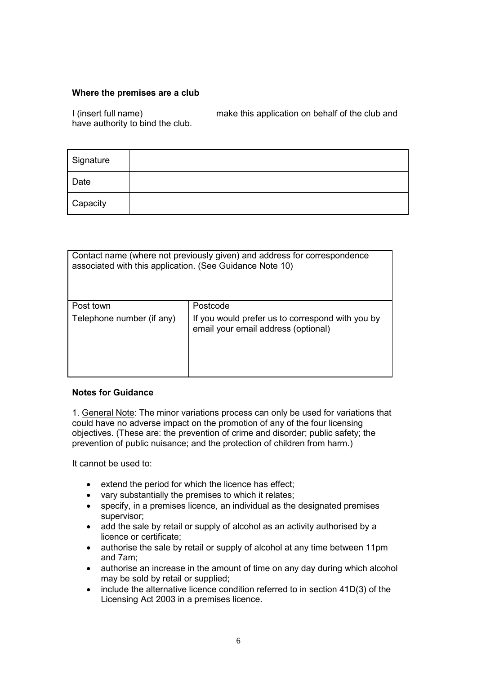# **Where the premises are a club**

I (insert full name) make this application on behalf of the club and have authority to bind the club.

| Signature |  |
|-----------|--|
| Date      |  |
| Capacity  |  |

| Contact name (where not previously given) and address for correspondence<br>associated with this application. (See Guidance Note 10) |                                                                                         |  |
|--------------------------------------------------------------------------------------------------------------------------------------|-----------------------------------------------------------------------------------------|--|
| Post town                                                                                                                            | Postcode                                                                                |  |
| Telephone number (if any)                                                                                                            | If you would prefer us to correspond with you by<br>email your email address (optional) |  |

# **Notes for Guidance**

1. General Note: The minor variations process can only be used for variations that could have no adverse impact on the promotion of any of the four licensing objectives. (These are: the prevention of crime and disorder; public safety; the prevention of public nuisance; and the protection of children from harm.)

It cannot be used to:

- extend the period for which the licence has effect;
- vary substantially the premises to which it relates;
- specify, in a premises licence, an individual as the designated premises supervisor;
- add the sale by retail or supply of alcohol as an activity authorised by a licence or certificate;
- authorise the sale by retail or supply of alcohol at any time between 11pm and 7am;
- authorise an increase in the amount of time on any day during which alcohol may be sold by retail or supplied;
- include the alternative licence condition referred to in section 41D(3) of the Licensing Act 2003 in a premises licence.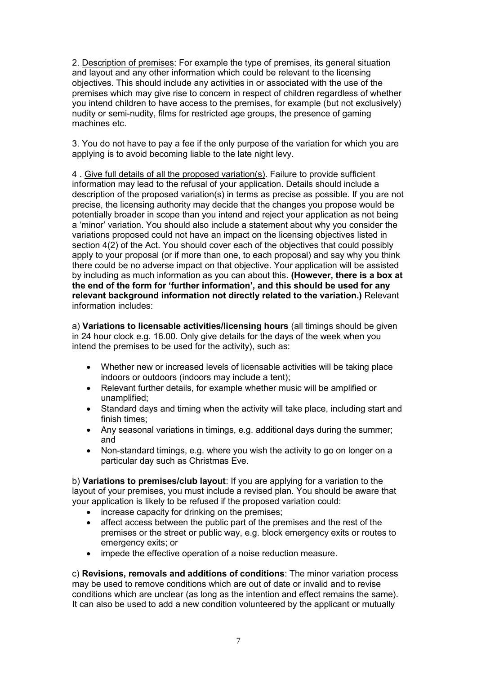2. Description of premises: For example the type of premises, its general situation and layout and any other information which could be relevant to the licensing objectives. This should include any activities in or associated with the use of the premises which may give rise to concern in respect of children regardless of whether you intend children to have access to the premises, for example (but not exclusively) nudity or semi-nudity, films for restricted age groups, the presence of gaming machines etc.

3. You do not have to pay a fee if the only purpose of the variation for which you are applying is to avoid becoming liable to the late night levy.

4 . Give full details of all the proposed variation(s). Failure to provide sufficient information may lead to the refusal of your application. Details should include a description of the proposed variation(s) in terms as precise as possible. If you are not precise, the licensing authority may decide that the changes you propose would be potentially broader in scope than you intend and reject your application as not being a 'minor' variation. You should also include a statement about why you consider the variations proposed could not have an impact on the licensing objectives listed in section 4(2) of the Act. You should cover each of the objectives that could possibly apply to your proposal (or if more than one, to each proposal) and say why you think there could be no adverse impact on that objective. Your application will be assisted by including as much information as you can about this. **(However, there is a box at the end of the form for 'further information', and this should be used for any relevant background information not directly related to the variation.)** Relevant information includes:

a) **Variations to licensable activities/licensing hours** (all timings should be given in 24 hour clock e.g. 16.00. Only give details for the days of the week when you intend the premises to be used for the activity), such as:

- Whether new or increased levels of licensable activities will be taking place indoors or outdoors (indoors may include a tent);
- Relevant further details, for example whether music will be amplified or unamplified;
- Standard days and timing when the activity will take place, including start and finish times;
- Any seasonal variations in timings, e.g. additional days during the summer; and
- Non-standard timings, e.g. where you wish the activity to go on longer on a particular day such as Christmas Eve.

b) **Variations to premises/club layout**: If you are applying for a variation to the layout of your premises, you must include a revised plan. You should be aware that your application is likely to be refused if the proposed variation could:

- increase capacity for drinking on the premises;
- affect access between the public part of the premises and the rest of the premises or the street or public way, e.g. block emergency exits or routes to emergency exits; or
- impede the effective operation of a noise reduction measure.

c) **Revisions, removals and additions of conditions**: The minor variation process may be used to remove conditions which are out of date or invalid and to revise conditions which are unclear (as long as the intention and effect remains the same). It can also be used to add a new condition volunteered by the applicant or mutually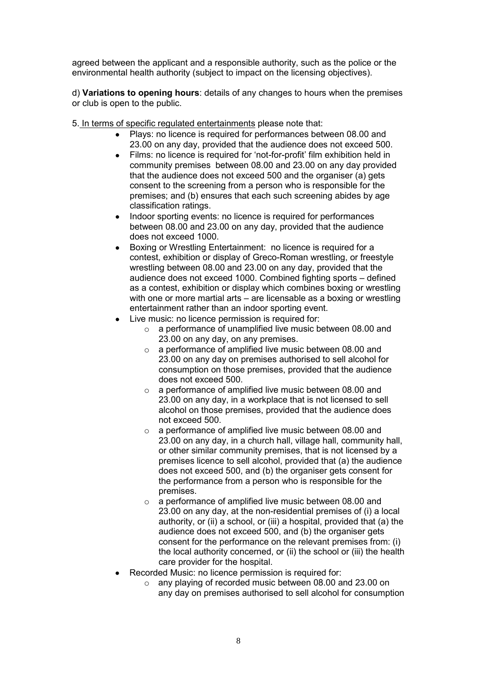agreed between the applicant and a responsible authority, such as the police or the environmental health authority (subject to impact on the licensing objectives).

d) **Variations to opening hours**: details of any changes to hours when the premises or club is open to the public.

- 5. In terms of specific regulated entertainments please note that:
	- Plays: no licence is required for performances between 08.00 and 23.00 on any day, provided that the audience does not exceed 500.
	- Films: no licence is required for 'not-for-profit' film exhibition held in community premises between 08.00 and 23.00 on any day provided that the audience does not exceed 500 and the organiser (a) gets consent to the screening from a person who is responsible for the premises; and (b) ensures that each such screening abides by age classification ratings.
	- Indoor sporting events: no licence is required for performances between 08.00 and 23.00 on any day, provided that the audience does not exceed 1000.
	- Boxing or Wrestling Entertainment: no licence is required for a contest, exhibition or display of Greco-Roman wrestling, or freestyle wrestling between 08.00 and 23.00 on any day, provided that the audience does not exceed 1000. Combined fighting sports – defined as a contest, exhibition or display which combines boxing or wrestling with one or more martial arts – are licensable as a boxing or wrestling entertainment rather than an indoor sporting event.
	- Live music: no licence permission is required for:
		- o a performance of unamplified live music between 08.00 and 23.00 on any day, on any premises.
		- o a performance of amplified live music between 08.00 and 23.00 on any day on premises authorised to sell alcohol for consumption on those premises, provided that the audience does not exceed 500.
		- o a performance of amplified live music between 08.00 and 23.00 on any day, in a workplace that is not licensed to sell alcohol on those premises, provided that the audience does not exceed 500.
		- o a performance of amplified live music between 08.00 and 23.00 on any day, in a church hall, village hall, community hall, or other similar community premises, that is not licensed by a premises licence to sell alcohol, provided that (a) the audience does not exceed 500, and (b) the organiser gets consent for the performance from a person who is responsible for the premises.
		- o a performance of amplified live music between 08.00 and 23.00 on any day, at the non-residential premises of (i) a local authority, or (ii) a school, or (iii) a hospital, provided that (a) the audience does not exceed 500, and (b) the organiser gets consent for the performance on the relevant premises from: (i) the local authority concerned, or (ii) the school or (iii) the health care provider for the hospital.
	- Recorded Music: no licence permission is required for:
		- o any playing of recorded music between 08.00 and 23.00 on any day on premises authorised to sell alcohol for consumption